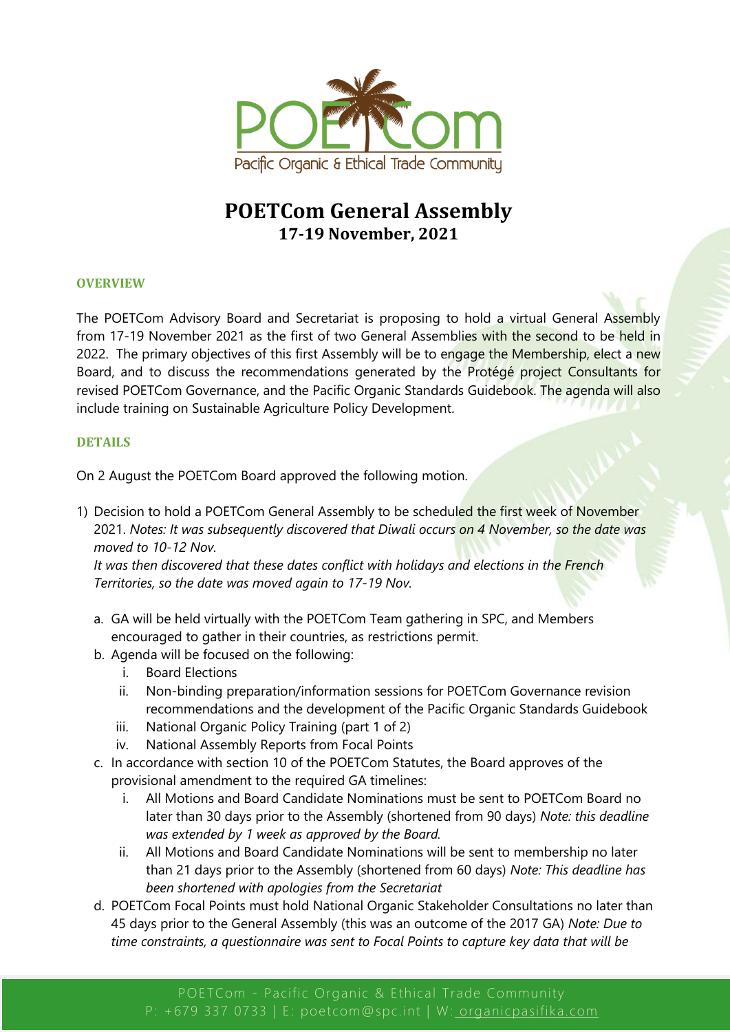

# **POETCom General Assembly 17-19 November, 2021**

## **OVERVIEW**

The POETCom Advisory Board and Secretariat is proposing to hold a virtual General Assembly from 17-19 November 2021 as the first of two General Assemblies with the second to be held in 2022. The primary objectives of this first Assembly will be to engage the Membership, elect a new Board, and to discuss the recommendations generated by the Protégé project Consultants for revised POETCom Governance, and the Pacific Organic Standards Guidebook. The agenda will also include training on Sustainable Agriculture Policy Development.

## **DETAILS**

On 2 August the POETCom Board approved the following motion.

1) Decision to hold a POETCom General Assembly to be scheduled the first week of November 2021. *Notes: It was subsequently discovered that Diwali occurs on 4 November, so the date was moved to 10-12 Nov.*

*It was then discovered that these dates conflict with holidays and elections in the French Territories, so the date was moved again to 17-19 Nov.*

- a. GA will be held virtually with the POETCom Team gathering in SPC, and Members encouraged to gather in their countries, as restrictions permit.
- b. Agenda will be focused on the following:
	- i. Board Elections
	- ii. Non-binding preparation/information sessions for POETCom Governance revision recommendations and the development of the Pacific Organic Standards Guidebook
	- iii. National Organic Policy Training (part 1 of 2)
	- iv. National Assembly Reports from Focal Points
- c. In accordance with section 10 of the POETCom Statutes, the Board approves of the provisional amendment to the required GA timelines:
	- i. All Motions and Board Candidate Nominations must be sent to POETCom Board no later than 30 days prior to the Assembly (shortened from 90 days) *Note: this deadline was extended by 1 week as approved by the Board.*
	- ii. All Motions and Board Candidate Nominations will be sent to membership no later than 21 days prior to the Assembly (shortened from 60 days) *Note: This deadline has been shortened with apologies from the Secretariat*
- d. POETCom Focal Points must hold National Organic Stakeholder Consultations no later than 45 days prior to the General Assembly (this was an outcome of the 2017 GA) *Note: Due to time constraints, a questionnaire was sent to Focal Points to capture key data that will be*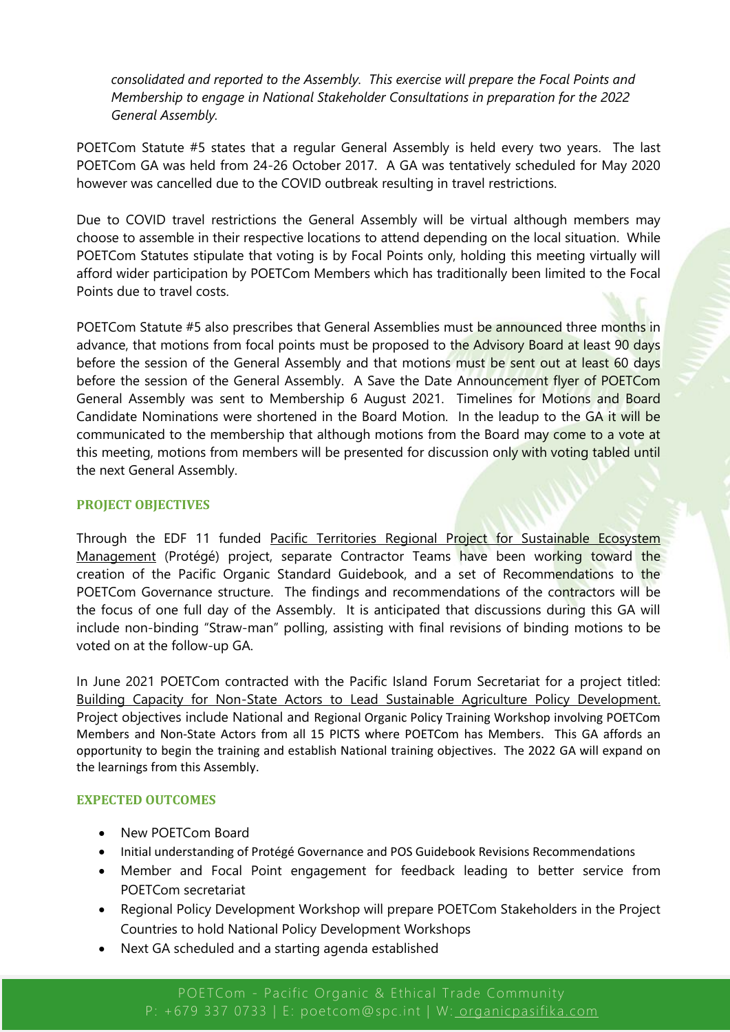*consolidated and reported to the Assembly. This exercise will prepare the Focal Points and Membership to engage in National Stakeholder Consultations in preparation for the 2022 General Assembly.*

POETCom Statute #5 states that a regular General Assembly is held every two years. The last POETCom GA was held from 24-26 October 2017. A GA was tentatively scheduled for May 2020 however was cancelled due to the COVID outbreak resulting in travel restrictions.

Due to COVID travel restrictions the General Assembly will be virtual although members may choose to assemble in their respective locations to attend depending on the local situation. While POETCom Statutes stipulate that voting is by Focal Points only, holding this meeting virtually will afford wider participation by POETCom Members which has traditionally been limited to the Focal Points due to travel costs.

POETCom Statute #5 also prescribes that General Assemblies must be announced three months in advance, that motions from focal points must be proposed to the Advisory Board at least 90 days before the session of the General Assembly and that motions must be sent out at least 60 days before the session of the General Assembly. A Save the Date Announcement flyer of POETCom General Assembly was sent to Membership 6 August 2021. Timelines for Motions and Board Candidate Nominations were shortened in the Board Motion. In the leadup to the GA it will be communicated to the membership that although motions from the Board may come to a vote at this meeting, motions from members will be presented for discussion only with voting tabled until the next General Assembly.

## **PROJECT OBJECTIVES**

Through the EDF 11 funded Pacific Territories Regional Project for Sustainable Ecosystem Management (Protégé) project, separate Contractor Teams have been working toward the creation of the Pacific Organic Standard Guidebook, and a set of Recommendations to the POETCom Governance structure. The findings and recommendations of the contractors will be the focus of one full day of the Assembly. It is anticipated that discussions during this GA will include non-binding "Straw-man" polling, assisting with final revisions of binding motions to be voted on at the follow-up GA.

In June 2021 POETCom contracted with the Pacific Island Forum Secretariat for a project titled: Building Capacity for Non-State Actors to Lead Sustainable Agriculture Policy Development. Project objectives include National and Regional Organic Policy Training Workshop involving POETCom Members and Non-State Actors from all 15 PICTS where POETCom has Members. This GA affords an opportunity to begin the training and establish National training objectives. The 2022 GA will expand on the learnings from this Assembly.

## **EXPECTED OUTCOMES**

- New POETCom Board
- Initial understanding of Protégé Governance and POS Guidebook Revisions Recommendations
- Member and Focal Point engagement for feedback leading to better service from POETCom secretariat
- Regional Policy Development Workshop will prepare POETCom Stakeholders in the Project Countries to hold National Policy Development Workshops
- Next GA scheduled and a starting agenda established